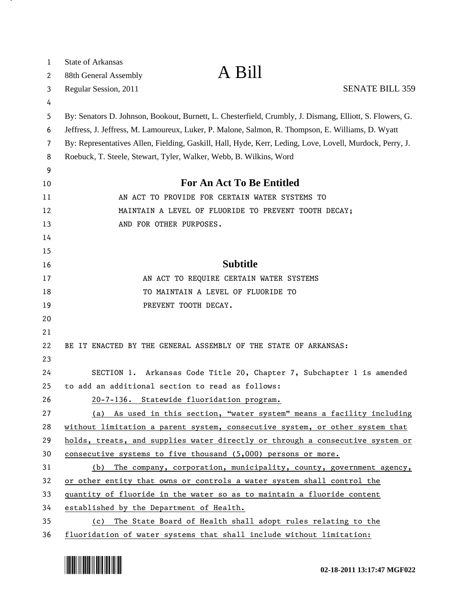| $\mathbf{1}$ | <b>State of Arkansas</b>                                                                                                                                                                                      | A Bill                                                                        |                        |  |
|--------------|---------------------------------------------------------------------------------------------------------------------------------------------------------------------------------------------------------------|-------------------------------------------------------------------------------|------------------------|--|
| 2            | 88th General Assembly                                                                                                                                                                                         |                                                                               |                        |  |
| 3            | Regular Session, 2011                                                                                                                                                                                         |                                                                               | <b>SENATE BILL 359</b> |  |
| 4            |                                                                                                                                                                                                               |                                                                               |                        |  |
| 5<br>6       | By: Senators D. Johnson, Bookout, Burnett, L. Chesterfield, Crumbly, J. Dismang, Elliott, S. Flowers, G.<br>Jeffress, J. Jeffress, M. Lamoureux, Luker, P. Malone, Salmon, R. Thompson, E. Williams, D. Wyatt |                                                                               |                        |  |
| 7            | By: Representatives Allen, Fielding, Gaskill, Hall, Hyde, Kerr, Leding, Love, Lovell, Murdock, Perry, J.                                                                                                      |                                                                               |                        |  |
| 8            | Roebuck, T. Steele, Stewart, Tyler, Walker, Webb, B. Wilkins, Word                                                                                                                                            |                                                                               |                        |  |
| 9            |                                                                                                                                                                                                               |                                                                               |                        |  |
| 10           | <b>For An Act To Be Entitled</b>                                                                                                                                                                              |                                                                               |                        |  |
| 11           | AN ACT TO PROVIDE FOR CERTAIN WATER SYSTEMS TO                                                                                                                                                                |                                                                               |                        |  |
| 12           | MAINTAIN A LEVEL OF FLUORIDE TO PREVENT TOOTH DECAY;                                                                                                                                                          |                                                                               |                        |  |
| 13           | AND FOR OTHER PURPOSES.                                                                                                                                                                                       |                                                                               |                        |  |
| 14           |                                                                                                                                                                                                               |                                                                               |                        |  |
| 15           |                                                                                                                                                                                                               |                                                                               |                        |  |
| 16           |                                                                                                                                                                                                               | <b>Subtitle</b>                                                               |                        |  |
| 17           |                                                                                                                                                                                                               | AN ACT TO REQUIRE CERTAIN WATER SYSTEMS                                       |                        |  |
| 18           |                                                                                                                                                                                                               | TO MAINTAIN A LEVEL OF FLUORIDE TO                                            |                        |  |
| 19           |                                                                                                                                                                                                               | PREVENT TOOTH DECAY.                                                          |                        |  |
| 20           |                                                                                                                                                                                                               |                                                                               |                        |  |
| 21           |                                                                                                                                                                                                               |                                                                               |                        |  |
| 22           |                                                                                                                                                                                                               | BE IT ENACTED BY THE GENERAL ASSEMBLY OF THE STATE OF ARKANSAS:               |                        |  |
| 23           |                                                                                                                                                                                                               |                                                                               |                        |  |
| 24           |                                                                                                                                                                                                               | SECTION 1. Arkansas Code Title 20, Chapter 7, Subchapter 1 is amended         |                        |  |
| 25           | to add an additional section to read as follows:                                                                                                                                                              |                                                                               |                        |  |
| 26           |                                                                                                                                                                                                               | 20-7-136. Statewide fluoridation program.                                     |                        |  |
| 27           |                                                                                                                                                                                                               | (a) As used in this section, "water system" means a facility including        |                        |  |
| 28           |                                                                                                                                                                                                               | without limitation a parent system, consecutive system, or other system that  |                        |  |
| 29           |                                                                                                                                                                                                               | holds, treats, and supplies water directly or through a consecutive system or |                        |  |
| 30           | consecutive systems to five thousand (5,000) persons or more.                                                                                                                                                 |                                                                               |                        |  |
| 31           | (b)                                                                                                                                                                                                           | The company, corporation, municipality, county, government agency,            |                        |  |
| 32           |                                                                                                                                                                                                               | or other entity that owns or controls a water system shall control the        |                        |  |
| 33           | quantity of fluoride in the water so as to maintain a fluoride content                                                                                                                                        |                                                                               |                        |  |
| 34           | established by the Department of Health.                                                                                                                                                                      |                                                                               |                        |  |
| 35           | The State Board of Health shall adopt rules relating to the<br>(c)                                                                                                                                            |                                                                               |                        |  |
| 36           |                                                                                                                                                                                                               | fluoridation of water systems that shall include without limitation:          |                        |  |



. н.